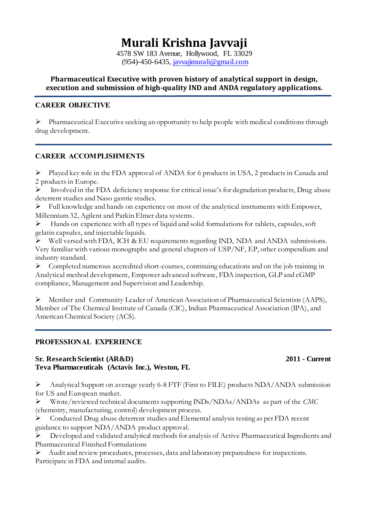# **Murali Krishna Javvaji**

4578 SW 183 Avenue, Hollywood, FL 33029 (954)-450-6435, [javvajimurali@gmail.com](mailto:javvajimurali@gmail.com)

## **Pharmaceutical Executive with proven history of analytical support in design, execution and submission of high-quality IND and ANDA regulatory applications.**

## **CAREER OBJECTIVE**

 $\triangleright$  Pharmaceutical Executive seeking an opportunity to help people with medical conditions through drug development.

## **CAREER ACCOMPLISHMENTS**

Played key role in the FDA approval of ANDA for 6 products in USA, 2 products in Canada and 2 products in Europe.

 $\triangleright$  Involved in the FDA deficiency response for critical issue's for degradation products, Drug abuse deterrent studies and Naso gastric studies.

 $\triangleright$  Full knowledge and hands on experience on most of the analytical instruments with Empower, Millennium 32, Agilent and Parkin Elmer data systems.

 $\blacktriangleright$  Hands on experience with all types of liquid and solid formulations for tablets, capsules, soft gelatin capsules, and injectable liquids.

 $\triangleright$  Well versed with FDA, ICH & EU requirements regarding IND, NDA and ANDA submissions. Very familiar with various monographs and general chapters of USP/NF, EP, other compendium and industry standard.

Completed numerous accredited short-courses, continuing educations and on the job training in Analytical method development, Empower advanced software, FDA inspection, GLP and cGMP compliance, Management and Supervision and Leadership.

Member and Community Leader of American Association of Pharmaceutical Scientists (AAPS), Member of The Chemical Institute of Canada (CIC), Indian Pharmaceutical Association (IPA), and American Chemical Society (ACS).

## **PROFESSIONAL EXPERIENCE**

## **Sr. Research Scientist (AR&D) 2011 - Current Teva Pharmaceuticals (Actavis Inc.), Weston, FL**

## Analytical Support on average yearly 6-8 FTF (First to FILE) products NDA/ANDA submission for US and European market.

 Wrote/reviewed technical documents supporting INDs/NDAs/ANDAs as part of the *CMC*  (chemistry, manufacturing, control) development process.

 $\triangleright$  Conducted Drug abuse deterrent studies and Elemental analysis testing as per FDA recent guidance to support NDA/ANDA product approval.

 Developed and validated analytical methods for analysis of Active Pharmaceutical Ingredients and Pharmaceutical Finished Formulations

Audit and review procedures, processes, data and laboratory preparedness for inspections. Participate in FDA and internal audits.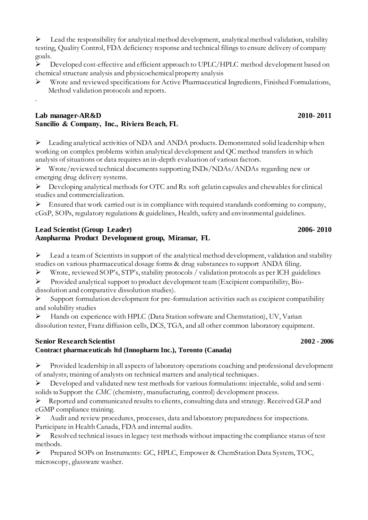$\triangleright$  Lead the responsibility for analytical method development, analytical method validation, stability testing, Quality Control, FDA deficiency response and technical filings to ensure delivery of company goals.

P Developed cost-effective and efficient approach to UPLC/HPLC method development based on chemical structure analysis and physicochemical property analysis

 Wrote and reviewed specifications for Active Pharmaceutical Ingredients, Finished Formulations, Method validation protocols and reports.

## **Lab manager-AR&D 2010- 2011 Sancilio & Company, Inc., Riviera Beach, FL**

.

Leading analytical activities of NDA and ANDA products. Demonstrated solid leadership when working on complex problems within analytical development and QC method transfers in which analysis of situations or data requires an in-depth evaluation of various factors.

Wrote/reviewed technical documents supporting INDs/NDAs/ANDAs regarding new or emerging drug delivery systems.

 $\triangleright$  Developing analytical methods for OTC and Rx soft gelatin capsules and chewables for clinical studies and commercialization.

 $\triangleright$  Ensured that work carried out is in compliance with required standards conforming to company, cGxP, SOPs, regulatory regulations & guidelines, Health, safety and environmental guidelines.

## **Lead Scientist (Group Leader) 2006- 2010 Azopharma Product Development group, Miramar, FL**

 $\triangleright$  Lead a team of Scientists in support of the analytical method development, validation and stability studies on various pharmaceutical dosage forms & drug substances to support ANDA filing.

Wrote, reviewed SOP's, STP's, stability protocols / validation protocols as per ICH guidelines

 Provided analytical support to product development team (Excipient compatibility, Biodissolution and comparative dissolution studies).

 $\triangleright$  Support formulation development for pre-formulation activities such as excipient compatibility and solubility studies

 Hands on experience with HPLC (Data Station software and Chemstation), UV, Varian dissolution tester, Franz diffusion cells, DCS, TGA, and all other common laboratory equipment.

## **Senior Research Scientist 2002 - 2006**

## **Contract pharmaceuticals ltd (Innopharm Inc.), Toronto (Canada)**

 Provided leadership in all aspects of laboratory operations coaching and professional development of analysts; training of analysts on technical matters and analytical techniques.

 $\triangleright$  Developed and validated new test methods for various formulations: injectable, solid and semisolids to Support the *CMC* (chemistry, manufacturing, control) development process.

Reported and communicated results to clients, consulting data and strategy. Received GLP and cGMP compliance training.

 Audit and review procedures, processes, data and laboratory preparedness for inspections. Participate in Health Canada, FDA and internal audits.

 $\triangleright$  Resolved technical issues in legacy test methods without impacting the compliance status of test methods.

 Prepared SOPs on Instruments: GC, HPLC, Empower & ChemStation Data System, TOC, microscopy, glassware washer.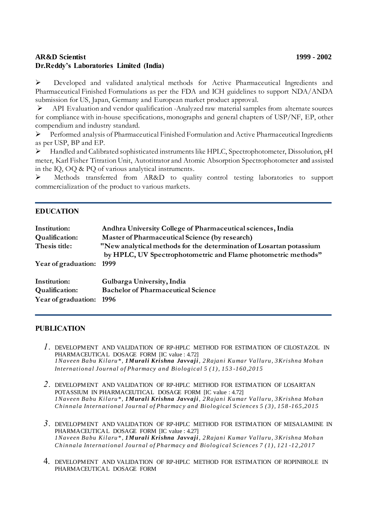## **AR&D Scientist 1999 - 2002 Dr.Reddy's Laboratories Limited (India)**

 Developed and validated analytical methods for Active Pharmaceutical Ingredients and Pharmaceutical Finished Formulations as per the FDA and ICH guidelines to support NDA/ANDA submission for US, Japan, Germany and European market product approval.

 API Evaluation and vendor qualification -Analyzed raw material samples from alternate sources for compliance with in-house specifications, monographs and general chapters of USP/NF, EP, other compendium and industry standard.

 Performed analysis of Pharmaceutical Finished Formulation and Active Pharmaceutical Ingredients as per USP, BP and EP.

 Handled and Calibrated sophisticated instruments like HPLC, Spectrophotometer, Dissolution, pH meter, Karl Fisher Titration Unit, Autotitrator and Atomic Absorption Spectrophotometer and assisted in the IQ, OQ & PQ of various analytical instruments.

 Methods transferred from AR&D to quality control testing laboratories to support commercialization of the product to various markets.

## **EDUCATION**

| Institution:        | Andhra University College of Pharmaceutical sciences, India           |
|---------------------|-----------------------------------------------------------------------|
| Qualification:      | Master of Pharmaceutical Science (by research)                        |
| Thesis title:       | "New analytical methods for the determination of Losartan potassium   |
| Year of graduation: | by HPLC, UV Spectrophotometric and Flame photometric methods"<br>1999 |
| Institution:        | Gulbarga University, India                                            |
| Qualification:      | <b>Bachelor of Pharmaceutical Science</b>                             |
| Year of graduation: | -1996                                                                 |

### **PUBLICATION**

- *1.* [DEVELOPMENT AND VALIDATION OF RP-HPLC METHOD FOR ESTIMATION OF CILOSTAZOL IN](http://www.ijpbs.com/view.php?iid=999)  [PHARMACEUTICAL DOSAGE FORM](http://www.ijpbs.com/view.php?iid=999) [IC value : 4.72] *1Naveen Babu Kilaru\*, 1Murali Krishna Javvaji , 2Rajani Kumar Valluru, 3Krishna Mohan International Journal of Pharmacy and Biological 5 ( 1) , 153 -160,2015*
- *2.* [DEVELOPMENT AND VALIDATION OF RP-HPLC METHOD FOR ESTIMATION OF LOSARTAN](http://www.ijpbs.com/view.php?iid=1000)  [POTASSIUM IN PHARMACEUTICAL DOSAGE FORM \[](http://www.ijpbs.com/view.php?iid=1000)IC value : 4.72] *1Naveen Babu Kilaru\*, 1Murali Krishna Javvaji , 2Rajani Kumar Valluru, 3Krishna Mohan Chinnala International Journal of Pharmac y and Biological Sciences 5 ( 3) , 158 -165,2015*
- *3.* [DEVELOPMENT AND VALIDATION OF RP-HPLC METHOD FOR ESTIMATION OF MESALAMINE IN](http://www.ijpbs.com/view.php?iid=998)  [PHARMACEUTICAL DOSAGE FORM](http://www.ijpbs.com/view.php?iid=998) [IC value : 4.27] *1Naveen Babu Kilaru\* , 1Murali Krishna Javvaji , 2Rajani Kumar Valluru, 3Krishna Mohan Chinnala International Journal of Pharmacy and Biological Sciences 7 ( 1) , 121 -12,2017*
- 4. [DEVELOPMENT AND VALIDATION OF RP-HPLC METHOD FOR ESTIMATION OF ROPINIROLE IN](http://www.ijpbs.com/view.php?iid=997)  [PHARMACEUTICAL DOSAGE FORM](http://www.ijpbs.com/view.php?iid=997)